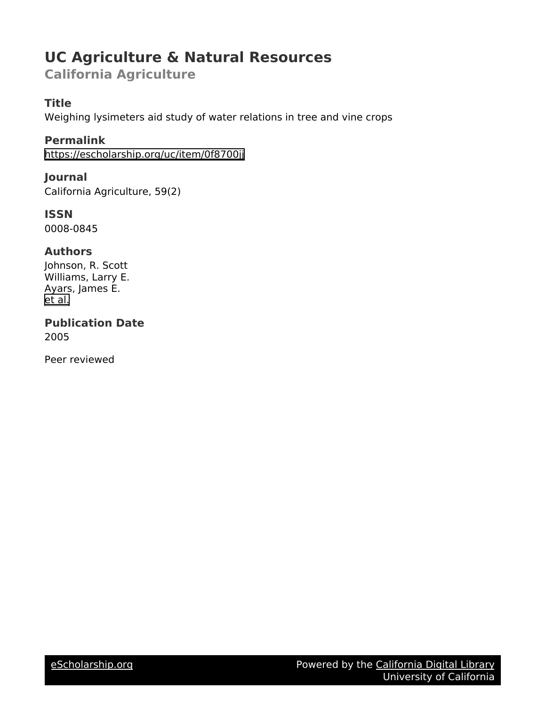## **UC Agriculture & Natural Resources**

**California Agriculture**

## **Title**

Weighing lysimeters aid study of water relations in tree and vine crops

**Permalink** <https://escholarship.org/uc/item/0f8700jj>

**Journal** California Agriculture, 59(2)

**ISSN** 0008-0845

### **Authors**

Johnson, R. Scott Williams, Larry E. Ayars, James E. [et al.](https://escholarship.org/uc/item/0f8700jj#author)

**Publication Date** 2005

Peer reviewed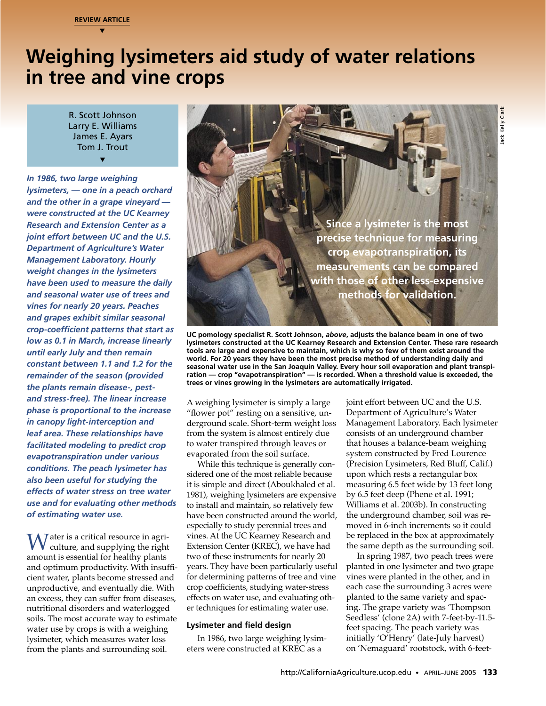**REVIEW ARTICLE** ▼

# **Weighing lysimeters aid study of water relations in tree and vine crops**

R. Scott Johnson Larry E. Williams James E. Ayars Tom J. Trout ▼

*In 1986, two large weighing lysimeters, — one in a peach orchard and the other in a grape vineyard were constructed at the UC Kearney Research and Extension Center as a joint effort between UC and the U.S. Department of Agriculture's Water Management Laboratory. Hourly weight changes in the lysimeters have been used to measure the daily and seasonal water use of trees and vines for nearly 20 years. Peaches and grapes exhibit similar seasonal crop-coefficient patterns that start as low as 0.1 in March, increase linearly until early July and then remain constant between 1.1 and 1.2 for the remainder of the season (provided the plants remain disease-, pestand stress-free). The linear increase phase is proportional to the increase in canopy light-interception and leaf area. These relationships have facilitated modeling to predict crop evapotranspiration under various conditions. The peach lysimeter has also been useful for studying the effects of water stress on tree water use and for evaluating other methods of estimating water use.*

amount is essential for healthy plants<br>and order instruments for nearly 20<br>and optimum productivity. With insuffic years. They have been particularly useful and productivity. With insuffic years, then insuppoductive, and e Water is a critical resource in agri-<br>culture, and supplying the right<br>amount is essential for boalthy plants amount is essential for healthy plants and optimum productivity. With insufficient water, plants become stressed and unproductive, and eventually die. With an excess, they can suffer from diseases, nutritional disorders and waterlogged soils. The most accurate way to estimate water use by crops is with a weighing lysimeter, which measures water loss from the plants and surrounding soil.



**UC pomology specialist R. Scott Johnson,** *above***, adjusts the balance beam in one of two lysimeters constructed at the UC Kearney Research and Extension Center. These rare research tools are large and expensive to maintain, which is why so few of them exist around the world. For 20 years they have been the most precise method of understanding daily and seasonal water use in the San Joaquin Valley. Every hour soil evaporation and plant transpiration — crop "evapotranspiration" — is recorded. When a threshold value is exceeded, the trees or vines growing in the lysimeters are automatically irrigated.**

A weighing lysimeter is simply a large "flower pot" resting on a sensitive, underground scale. Short-term weight loss from the system is almost entirely due to water transpired through leaves or evaporated from the soil surface.

While this technique is generally considered one of the most reliable because it is simple and direct (Aboukhaled et al. 1981), weighing lysimeters are expensive to install and maintain, so relatively few have been constructed around the world, especially to study perennial trees and vines. At the UC Kearney Research and Extension Center (KREC), we have had two of these instruments for nearly 20 years. They have been particularly useful for determining patterns of tree and vine crop coefficients, studying water-stress effects on water use, and evaluating other techniques for estimating water use.

#### **Lysimeter and field design**

In 1986, two large weighing lysimeters were constructed at KREC as a

joint effort between UC and the U.S. Department of Agriculture's Water Management Laboratory. Each lysimeter consists of an underground chamber that houses a balance-beam weighing system constructed by Fred Lourence (Precision Lysimeters, Red Bluff, Calif.) upon which rests a rectangular box measuring 6.5 feet wide by 13 feet long by 6.5 feet deep (Phene et al. 1991; Williams et al. 2003b). In constructing the underground chamber, soil was removed in 6-inch increments so it could be replaced in the box at approximately the same depth as the surrounding soil.

In spring 1987, two peach trees were planted in one lysimeter and two grape vines were planted in the other, and in each case the surrounding 3 acres were planted to the same variety and spacing. The grape variety was 'Thompson Seedless' (clone 2A) with 7-feet-by-11.5 feet spacing. The peach variety was initially 'O'Henry' (late-July harvest) on 'Nemaguard' rootstock, with 6-feet-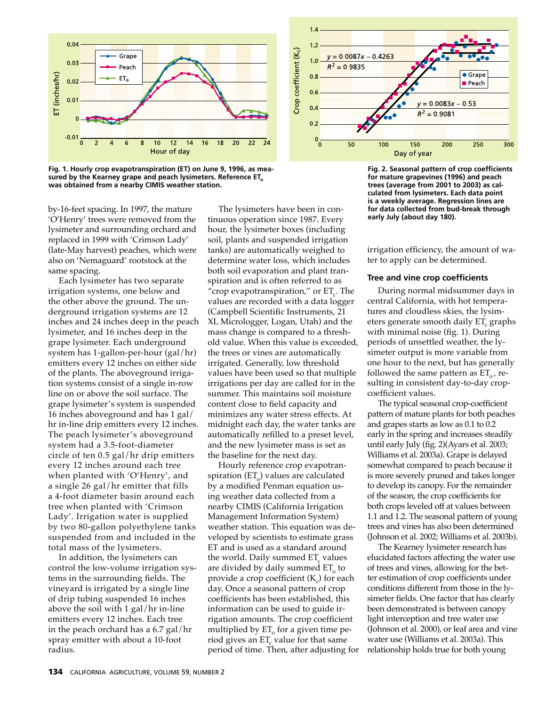

**Fig. 1. Hourly crop evapotranspiration (ET) on June 9, 1996, as mea**sured by the Kearney grape and peach lysimeters. Reference ET<sub>o</sub> **was obtained from a nearby CIMIS weather station.**

by-16-feet spacing. In 1997, the mature 'O'Henry' trees were removed from the lysimeter and surrounding orchard and replaced in 1999 with 'Crimson Lady' (late-May harvest) peaches, which were also on 'Nemaguard' rootstock at the same spacing.

Each lysimeter has two separate irrigation systems, one below and the other above the ground. The underground irrigation systems are 12 inches and 24 inches deep in the peach lysimeter, and 16 inches deep in the grape lysimeter. Each underground system has 1-gallon-per-hour (gal/hr) emitters every 12 inches on either side of the plants. The aboveground irrigation systems consist of a single in-row line on or above the soil surface. The grape lysimeter's system is suspended 16 inches aboveground and has 1 gal/ hr in-line drip emitters every 12 inches. The peach lysimeter's aboveground system had a 3.5-foot-diameter circle of ten 0.5 gal/hr drip emitters every 12 inches around each tree when planted with 'O'Henry', and a single 26 gal/hr emitter that fills a 4-foot diameter basin around each tree when planted with 'Crimson Lady'. Irrigation water is supplied by two 80-gallon polyethylene tanks suspended from and included in the total mass of the lysimeters.

In addition, the lysimeters can control the low-volume irrigation systems in the surrounding fields. The vineyard is irrigated by a single line of drip tubing suspended 16 inches above the soil with 1 gal/hr in-line emitters every 12 inches. Each tree in the peach orchard has a 6.7 gal/hr spray emitter with about a 10-foot radius.

The lysimeters have been in continuous operation since 1987. Every hour, the lysimeter boxes (including soil, plants and suspended irrigation tanks) are automatically weighed to determine water loss, which includes both soil evaporation and plant transpiration and is often referred to as "crop evapotranspiration," or  $ET_c$ . The values are recorded with a data logger (Campbell Scientific Instruments, 21 XL Micrologger, Logan, Utah) and the mass change is compared to a threshold value. When this value is exceeded, the trees or vines are automatically irrigated. Generally, low threshold values have been used so that multiple irrigations per day are called for in the summer. This maintains soil moisture content close to field capacity and minimizes any water stress effects. At midnight each day, the water tanks are automatically refilled to a preset level, and the new lysimeter mass is set as the baseline for the next day.

Hourly reference crop evapotranspiration  $(ET_0)$  values are calculated by a modified Penman equation using weather data collected from a nearby CIMIS (California Irrigation Management Information System) weather station. This equation was developed by scientists to estimate grass ET and is used as a standard around the world. Daily summed  $ET_c$  values are divided by daily summed  $ET<sub>o</sub>$  to provide a crop coefficient  $(K_c)$  for each day. Once a seasonal pattern of crop coefficients has been established, this information can be used to guide irrigation amounts. The crop coefficient multiplied by  $ET_0$  for a given time period gives an  $ET_c$  value for that same period of time. Then, after adjusting for



**Fig. 2. Seasonal pattern of crop coefficients for mature grapevines (1996) and peach trees (average from 2001 to 2003) as calculated from lysimeters. Each data point is a weekly average. Regression lines are for data collected from bud-break through early July (about day 180).**

irrigation efficiency, the amount of water to apply can be determined.

#### **Tree and vine crop coefficients**

During normal midsummer days in central California, with hot temperatures and cloudless skies, the lysimeters generate smooth daily ET<sub>c</sub> graphs with minimal noise (fig. 1). During periods of unsettled weather, the lysimeter output is more variable from one hour to the next, but has generally followed the same pattern as  $ET_{0}$ , resulting in consistent day-to-day cropcoefficient values.

The typical seasonal crop-coefficient pattern of mature plants for both peaches and grapes starts as low as 0.1 to 0.2 early in the spring and increases steadily until early July (fig. 2)(Ayars et al. 2003; Williams et al. 2003a). Grape is delayed somewhat compared to peach because it is more severely pruned and takes longer to develop its canopy. For the remainder of the season, the crop coefficients for both crops leveled off at values between 1.1 and 1.2. The seasonal pattern of young trees and vines has also been determined (Johnson et al. 2002; Williams et al. 2003b).

In addition, the lysimeters can<br>
control the low-volume rirgiation sys-<br>
care divided by adily summed ET, vb of trees and vines and convertions<br>
the now-volume irrigation systems in the surrounding fields. The<br>
terms in t The Kearney lysimeter research has elucidated factors affecting the water use of trees and vines, allowing for the better estimation of crop coefficients under conditions different from those in the lysimeter fields. One factor that has clearly been demonstrated is between canopy light interception and tree water use (Johnson et al. 2000), or leaf area and vine water use (Williams et al. 2003a). This relationship holds true for both young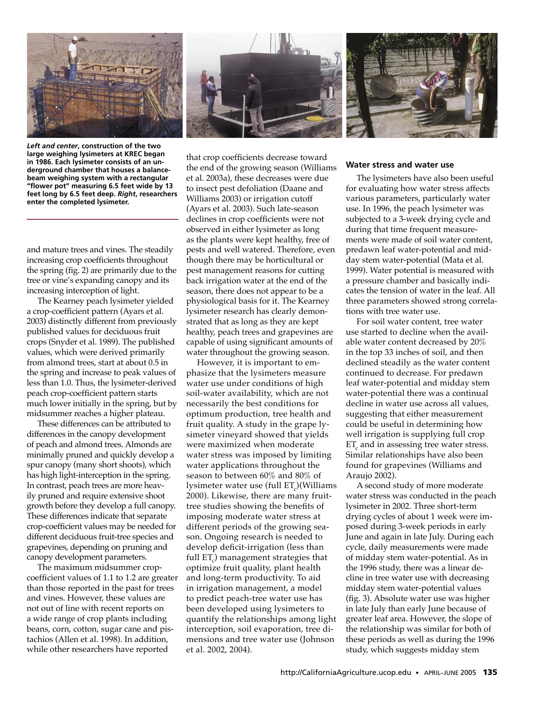





*Left and center***, construction of the two large weighing lysimeters at KREC began in 1986. Each lysimeter consists of an underground chamber that houses a balancebeam weighing system with a rectangular "flower pot" measuring 6.5 feet wide by 13 feet long by 6.5 feet deep.** *Right***, researchers enter the completed lysimeter.**

and mature trees and vines. The steadily increasing crop coefficients throughout the spring (fig. 2) are primarily due to the tree or vine's expanding canopy and its increasing interception of light.

The Kearney peach lysimeter yielded a crop-coefficient pattern (Ayars et al. 2003) distinctly different from previously published values for deciduous fruit crops (Snyder et al. 1989). The published values, which were derived primarily from almond trees, start at about 0.5 in the spring and increase to peak values of less than 1.0. Thus, the lysimeter-derived peach crop-coefficient pattern starts much lower initially in the spring, but by midsummer reaches a higher plateau.

These differences can be attributed to differences in the canopy development of peach and almond trees. Almonds are minimally pruned and quickly develop a spur canopy (many short shoots), which has high light-interception in the spring. In contrast, peach trees are more heavily pruned and require extensive shoot growth before they develop a full canopy. These differences indicate that separate crop-coefficient values may be needed for different deciduous fruit-tree species and grapevines, depending on pruning and canopy development parameters.

The maximum midsummer cropcoefficient values of 1.1 to 1.2 are greater than those reported in the past for trees and vines. However, these values are not out of line with recent reports on a wide range of crop plants including beans, corn, cotton, sugar cane and pistachios (Allen et al. 1998). In addition, while other researchers have reported

that crop coefficients decrease toward the end of the growing season (Williams et al. 2003a), these decreases were due to insect pest defoliation (Daane and Williams 2003) or irrigation cutoff (Ayars et al. 2003). Such late-season declines in crop coefficients were not observed in either lysimeter as long as the plants were kept healthy, free of pests and well watered. Therefore, even though there may be horticultural or pest management reasons for cutting back irrigation water at the end of the season, there does not appear to be a physiological basis for it. The Kearney lysimeter research has clearly demonstrated that as long as they are kept healthy, peach trees and grapevines are capable of using significant amounts of water throughout the growing season.

compy development parameters. Full ET<sub>c</sub>) management strategies that of midday stem water-potential. As in<br>The maximum indsummer crop-<br>coefficient values of 1.1 to 1.2 are greater and long-term productivity. To aid clime i However, it is important to emphasize that the lysimeters measure water use under conditions of high soil-water availability, which are not necessarily the best conditions for optimum production, tree health and fruit quality. A study in the grape lysimeter vineyard showed that yields were maximized when moderate water stress was imposed by limiting water applications throughout the season to between 60% and 80% of lysimeter water use (full  $ET_c$ )(Williams 2000). Likewise, there are many fruittree studies showing the benefits of imposing moderate water stress at different periods of the growing season. Ongoing research is needed to develop deficit-irrigation (less than full  $ET<sub>c</sub>$ ) management strategies that optimize fruit quality, plant health and long-term productivity. To aid in irrigation management, a model to predict peach-tree water use has been developed using lysimeters to quantify the relationships among light interception, soil evaporation, tree dimensions and tree water use (Johnson et al. 2002, 2004).

#### **Water stress and water use**

The lysimeters have also been useful for evaluating how water stress affects various parameters, particularly water use. In 1996, the peach lysimeter was subjected to a 3-week drying cycle and during that time frequent measurements were made of soil water content, predawn leaf water-potential and midday stem water-potential (Mata et al. 1999). Water potential is measured with a pressure chamber and basically indicates the tension of water in the leaf. All three parameters showed strong correlations with tree water use.

For soil water content, tree water use started to decline when the available water content decreased by 20% in the top 33 inches of soil, and then declined steadily as the water content continued to decrease. For predawn leaf water-potential and midday stem water-potential there was a continual decline in water use across all values, suggesting that either measurement could be useful in determining how well irrigation is supplying full crop ET<sub>c</sub> and in assessing tree water stress. Similar relationships have also been found for grapevines (Williams and Araujo 2002).

A second study of more moderate water stress was conducted in the peach lysimeter in 2002. Three short-term drying cycles of about 1 week were imposed during 3-week periods in early June and again in late July. During each cycle, daily measurements were made of midday stem water-potential. As in the 1996 study, there was a linear decline in tree water use with decreasing midday stem water-potential values (fig. 3). Absolute water use was higher in late July than early June because of greater leaf area. However, the slope of the relationship was similar for both of these periods as well as during the 1996 study, which suggests midday stem